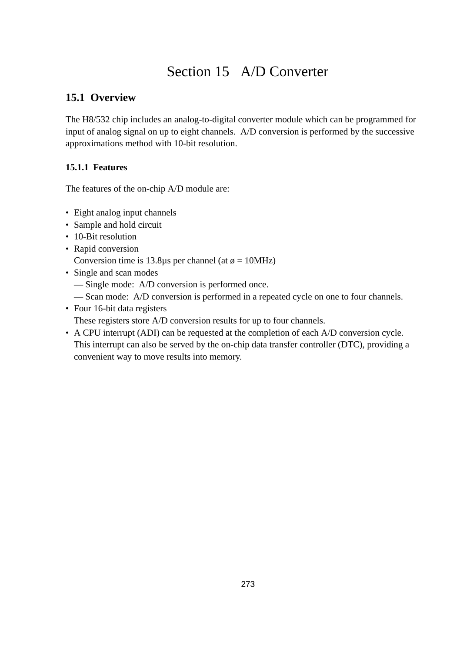# Section 15 A/D Converter

## **15.1 Overview**

The H8/532 chip includes an analog-to-digital converter module which can be programmed for input of analog signal on up to eight channels. A/D conversion is performed by the successive approximations method with 10-bit resolution.

## **15.1.1 Features**

The features of the on-chip A/D module are:

- Eight analog input channels
- Sample and hold circuit
- 10-Bit resolution
- Rapid conversion

Conversion time is 13.8 $\mu$ s per channel (at  $\phi = 10$ MHz)

- Single and scan modes
	- Single mode: A/D conversion is performed once.
	- Scan mode: A/D conversion is performed in a repeated cycle on one to four channels.
- Four 16-bit data registers

These registers store A/D conversion results for up to four channels.

• A CPU interrupt (ADI) can be requested at the completion of each A/D conversion cycle. This interrupt can also be served by the on-chip data transfer controller (DTC), providing a convenient way to move results into memory.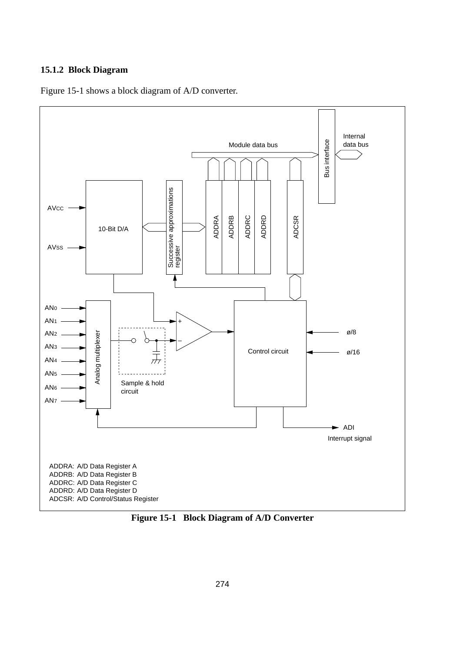### **15.1.2 Block Diagram**





**Figure 15-1 Block Diagram of A/D Converter**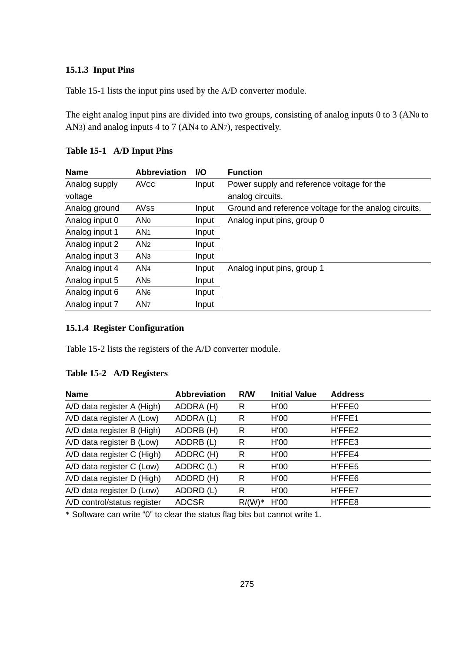## **15.1.3 Input Pins**

Table 15-1 lists the input pins used by the A/D converter module.

The eight analog input pins are divided into two groups, consisting of analog inputs 0 to 3 (AN0 to AN3) and analog inputs 4 to 7 (AN4 to AN7), respectively.

| <b>Name</b>    | <b>Abbreviation</b> | <b>VO</b> | <b>Function</b>                                       |
|----------------|---------------------|-----------|-------------------------------------------------------|
| Analog supply  | AVCC                | Input     | Power supply and reference voltage for the            |
| voltage        |                     |           | analog circuits.                                      |
| Analog ground  | AVSS                | Input     | Ground and reference voltage for the analog circuits. |
| Analog input 0 | AN <sub>0</sub>     | Input     | Analog input pins, group 0                            |
| Analog input 1 | AN <sub>1</sub>     | Input     |                                                       |
| Analog input 2 | AN <sub>2</sub>     | Input     |                                                       |
| Analog input 3 | AN <sub>3</sub>     | Input     |                                                       |
| Analog input 4 | AN <sub>4</sub>     | Input     | Analog input pins, group 1                            |
| Analog input 5 | AN <sub>5</sub>     | Input     |                                                       |
| Analog input 6 | AN <sub>6</sub>     | Input     |                                                       |
| Analog input 7 | AN <sub>7</sub>     | Input     |                                                       |

## **15.1.4 Register Configuration**

Table 15-2 lists the registers of the A/D converter module.

### **Table 15-2 A/D Registers**

| <b>Name</b>                 | <b>Abbreviation</b> | R/W      | <b>Initial Value</b> | <b>Address</b> |
|-----------------------------|---------------------|----------|----------------------|----------------|
| A/D data register A (High)  | ADDRA (H)           | R        | H'00                 | H'FFE0         |
| A/D data register A (Low)   | ADDRA (L)           | R        | H'00                 | H'FFE1         |
| A/D data register B (High)  | ADDRB (H)           | R        | H'00                 | H'FFE2         |
| A/D data register B (Low)   | ADDRB (L)           | R        | H'00                 | H'FFE3         |
| A/D data register C (High)  | ADDRC (H)           | R        | H'00                 | H'FFE4         |
| A/D data register C (Low)   | ADDRC (L)           | R        | H'00                 | H'FFE5         |
| A/D data register D (High)  | ADDRD (H)           | R        | H'00                 | H'FFE6         |
| A/D data register D (Low)   | ADDRD (L)           | R        | H'00                 | H'FFE7         |
| A/D control/status register | <b>ADCSR</b>        | $R/(W)*$ | H'00                 | H'FFE8         |

\* Software can write "0" to clear the status flag bits but cannot write 1.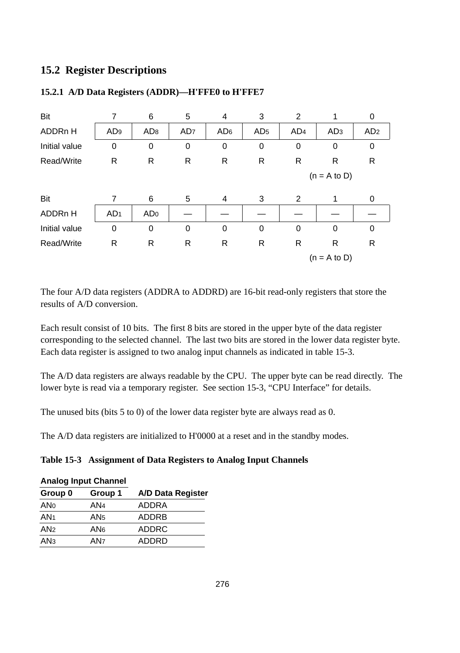## **15.2 Register Descriptions**

| Bit                 |                 | 6               | 5               | 4               | 3               | $\overline{2}$  | 1               | 0               |
|---------------------|-----------------|-----------------|-----------------|-----------------|-----------------|-----------------|-----------------|-----------------|
| ADDR <sub>n</sub> H | AD <sub>9</sub> | AD <sub>8</sub> | AD <sub>7</sub> | AD <sub>6</sub> | AD <sub>5</sub> | AD <sub>4</sub> | AD <sub>3</sub> | AD <sub>2</sub> |
| Initial value       | 0               | 0               | 0               | 0               | 0               | 0               | 0               | $\mathbf 0$     |
| Read/Write          | R               | R               | R               | R               | R               | R               | R               | R               |
|                     |                 |                 |                 |                 |                 |                 | $(n = A to D)$  |                 |
| Bit                 | 7               | 6               | 5               | 4               | 3               | 2               | 1               | 0               |
| ADDR <sub>n</sub> H | AD <sub>1</sub> | AD <sub>0</sub> |                 |                 |                 |                 |                 |                 |
| Initial value       | 0               | 0               | 0               | 0               | 0               | $\Omega$        | 0               | $\mathbf 0$     |
| Read/Write          | R               | R               | R               | R               | R               | R               | R               | R               |
|                     |                 |                 |                 |                 |                 |                 | $(n = A to D)$  |                 |

## **15.2.1 A/D Data Registers (ADDR)—H'FFE0 to H'FFE7**

The four A/D data registers (ADDRA to ADDRD) are 16-bit read-only registers that store the results of A/D conversion.

Each result consist of 10 bits. The first 8 bits are stored in the upper byte of the data register corresponding to the selected channel. The last two bits are stored in the lower data register byte. Each data register is assigned to two analog input channels as indicated in table 15-3.

The A/D data registers are always readable by the CPU. The upper byte can be read directly. The lower byte is read via a temporary register. See section 15-3, "CPU Interface" for details.

The unused bits (bits 5 to 0) of the lower data register byte are always read as 0.

The A/D data registers are initialized to H'0000 at a reset and in the standby modes.

### **Table 15-3 Assignment of Data Registers to Analog Input Channels**

#### **Analog Input Channel**

| Group 0         | Group 1 | A/D Data Register |
|-----------------|---------|-------------------|
| <b>ANo</b>      | AN4     | ADDRA             |
| AN <sub>1</sub> | AN5     | ADDRB             |
| AN <sub>2</sub> | AN6     | <b>ADDRC</b>      |
| AN <sub>3</sub> | AN7     | <b>ADDRD</b>      |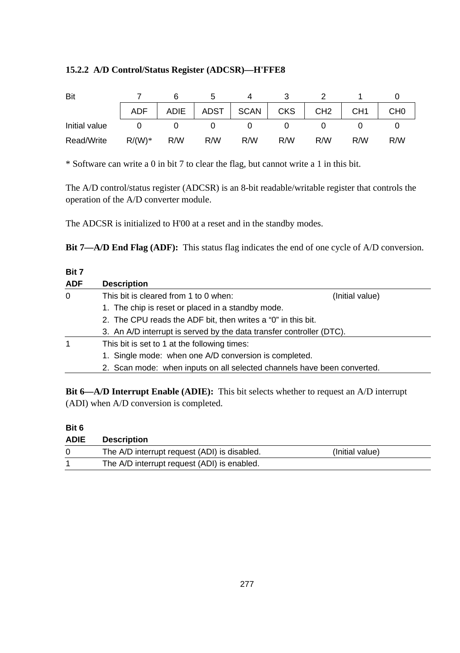## **15.2.2 A/D Control/Status Register (ADCSR)—H'FFE8**

| Bit           |          |     |     |                          |     |                 |                 |                 |
|---------------|----------|-----|-----|--------------------------|-----|-----------------|-----------------|-----------------|
|               | ADF      |     |     | ADIE   ADST   SCAN   CKS |     | CH <sub>2</sub> | CH <sub>1</sub> | CH <sub>0</sub> |
| Initial value |          |     |     |                          |     |                 |                 |                 |
| Read/Write    | $R/(W)*$ | R/W | R/W | R/W                      | R/W | R/M             | R/W             | R/W             |

\* Software can write a 0 in bit 7 to clear the flag, but cannot write a 1 in this bit.

The A/D control/status register (ADCSR) is an 8-bit readable/writable register that controls the operation of the A/D converter module.

The ADCSR is initialized to H'00 at a reset and in the standby modes.

**Bit 7—A/D End Flag (ADF):** This status flag indicates the end of one cycle of A/D conversion.

| Bit 7      |                                                                         |                 |
|------------|-------------------------------------------------------------------------|-----------------|
| <b>ADF</b> | <b>Description</b>                                                      |                 |
| 0          | This bit is cleared from 1 to 0 when:                                   | (Initial value) |
|            | 1. The chip is reset or placed in a standby mode.                       |                 |
|            | 2. The CPU reads the ADF bit, then writes a "0" in this bit.            |                 |
|            | 3. An A/D interrupt is served by the data transfer controller (DTC).    |                 |
| 1          | This bit is set to 1 at the following times:                            |                 |
|            | 1. Single mode: when one A/D conversion is completed.                   |                 |
|            | 2. Scan mode: when inputs on all selected channels have been converted. |                 |
|            |                                                                         |                 |

**Bit 6—A/D Interrupt Enable (ADIE):** This bit selects whether to request an A/D interrupt (ADI) when A/D conversion is completed.

| Bit 6       |                                              |                 |
|-------------|----------------------------------------------|-----------------|
| <b>ADIE</b> | <b>Description</b>                           |                 |
|             | The A/D interrupt request (ADI) is disabled. | (Initial value) |
|             | The A/D interrupt request (ADI) is enabled.  |                 |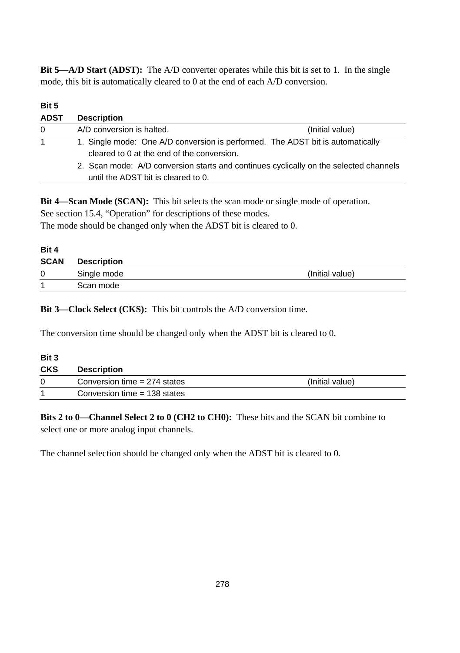**Bit 5—A/D Start (ADST):** The A/D converter operates while this bit is set to 1. In the single mode, this bit is automatically cleared to 0 at the end of each A/D conversion.

### **Bit 5**

| <b>ADST</b> | <b>Description</b>                                                                                                           |                 |
|-------------|------------------------------------------------------------------------------------------------------------------------------|-----------------|
| 0           | A/D conversion is halted.                                                                                                    | (Initial value) |
| $\mathbf 1$ | 1. Single mode: One A/D conversion is performed. The ADST bit is automatically<br>cleared to 0 at the end of the conversion. |                 |
|             | 2. Scan mode: A/D conversion starts and continues cyclically on the selected channels<br>until the ADST bit is cleared to 0. |                 |

**Bit 4—Scan Mode (SCAN):** This bit selects the scan mode or single mode of operation. See section 15.4, "Operation" for descriptions of these modes. The mode should be changed only when the ADST bit is cleared to 0.

| Bit 4       |             |                 |
|-------------|-------------|-----------------|
| <b>SCAN</b> | Description |                 |
| 0           | Single mode | (Initial value) |
|             | Scan mode   |                 |

**Bit 3—Clock Select (CKS):** This bit controls the A/D conversion time.

The conversion time should be changed only when the ADST bit is cleared to 0.

| Bit 3      |                                |                 |
|------------|--------------------------------|-----------------|
| <b>CKS</b> | <b>Description</b>             |                 |
|            | Conversion time $= 274$ states | (Initial value) |
|            | Conversion time $= 138$ states |                 |

**Bits 2 to 0—Channel Select 2 to 0 (CH2 to CH0):** These bits and the SCAN bit combine to select one or more analog input channels.

The channel selection should be changed only when the ADST bit is cleared to 0.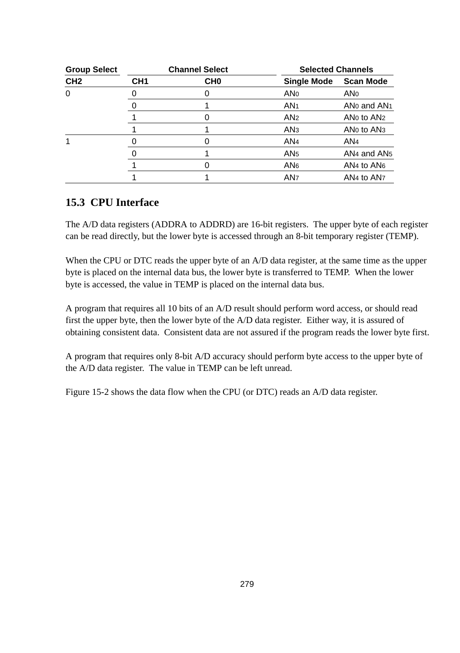| <b>Group Select</b> |                 | <b>Channel Select</b> | <b>Selected Channels</b> |                                                |  |
|---------------------|-----------------|-----------------------|--------------------------|------------------------------------------------|--|
| CH <sub>2</sub>     | CH <sub>1</sub> | CH <sub>0</sub>       | <b>Single Mode</b>       | <b>Scan Mode</b>                               |  |
| $\Omega$            |                 |                       | <b>ANO</b>               | ANo                                            |  |
|                     |                 |                       | AN <sub>1</sub>          | AN <sub>0</sub> and AN <sub>1</sub>            |  |
|                     |                 |                       | AN <sub>2</sub>          | AN <sub>0</sub> to A <sub>N</sub> <sub>2</sub> |  |
|                     |                 |                       | AN <sub>3</sub>          | AN <sub>0</sub> to AN <sub>3</sub>             |  |
|                     |                 |                       | AN <sub>4</sub>          | AN <sub>4</sub>                                |  |
|                     |                 |                       | AN <sub>5</sub>          | AN <sub>4</sub> and AN <sub>5</sub>            |  |
|                     |                 |                       | AN <sub>6</sub>          | AN <sub>4</sub> to AN <sub>6</sub>             |  |
|                     |                 |                       | AN <sub>7</sub>          | AN <sub>4</sub> to AN <sub>7</sub>             |  |

## **15.3 CPU Interface**

The A/D data registers (ADDRA to ADDRD) are 16-bit registers. The upper byte of each register can be read directly, but the lower byte is accessed through an 8-bit temporary register (TEMP).

When the CPU or DTC reads the upper byte of an A/D data register, at the same time as the upper byte is placed on the internal data bus, the lower byte is transferred to TEMP. When the lower byte is accessed, the value in TEMP is placed on the internal data bus.

A program that requires all 10 bits of an A/D result should perform word access, or should read first the upper byte, then the lower byte of the A/D data register. Either way, it is assured of obtaining consistent data. Consistent data are not assured if the program reads the lower byte first.

A program that requires only 8-bit A/D accuracy should perform byte access to the upper byte of the A/D data register. The value in TEMP can be left unread.

Figure 15-2 shows the data flow when the CPU (or DTC) reads an A/D data register.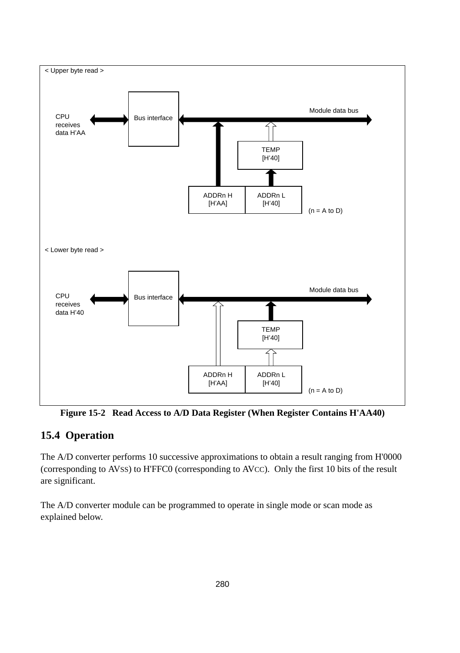

**Figure 15-2 Read Access to A/D Data Register (When Register Contains H'AA40)**

## **15.4 Operation**

The A/D converter performs 10 successive approximations to obtain a result ranging from H'0000 (corresponding to AVSS) to H'FFC0 (corresponding to AVCC). Only the first 10 bits of the result are significant.

The A/D converter module can be programmed to operate in single mode or scan mode as explained below.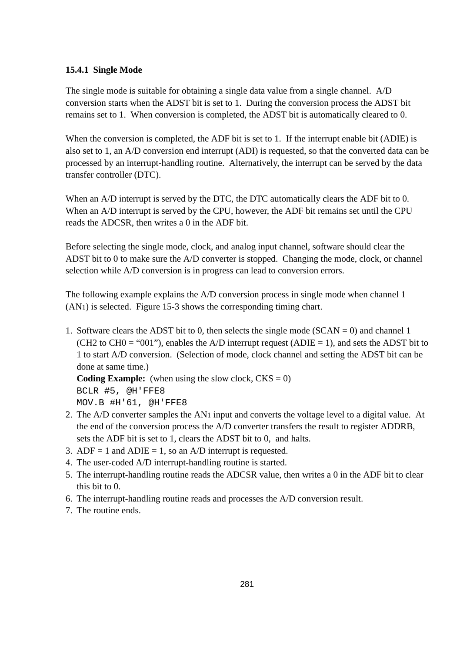## **15.4.1 Single Mode**

The single mode is suitable for obtaining a single data value from a single channel. A/D conversion starts when the ADST bit is set to 1. During the conversion process the ADST bit remains set to 1. When conversion is completed, the ADST bit is automatically cleared to 0.

When the conversion is completed, the ADF bit is set to 1. If the interrupt enable bit (ADIE) is also set to 1, an A/D conversion end interrupt (ADI) is requested, so that the converted data can be processed by an interrupt-handling routine. Alternatively, the interrupt can be served by the data transfer controller (DTC).

When an A/D interrupt is served by the DTC, the DTC automatically clears the ADF bit to 0. When an A/D interrupt is served by the CPU, however, the ADF bit remains set until the CPU reads the ADCSR, then writes a 0 in the ADF bit.

Before selecting the single mode, clock, and analog input channel, software should clear the ADST bit to 0 to make sure the A/D converter is stopped. Changing the mode, clock, or channel selection while A/D conversion is in progress can lead to conversion errors.

The following example explains the A/D conversion process in single mode when channel 1 (AN1) is selected. Figure 15-3 shows the corresponding timing chart.

1. Software clears the ADST bit to 0, then selects the single mode  $(SCAN = 0)$  and channel 1 (CH2 to CH0 = "001"), enables the A/D interrupt request (ADIE = 1), and sets the ADST bit to 1 to start A/D conversion. (Selection of mode, clock channel and setting the ADST bit can be done at same time.)

**Coding Example:** (when using the slow clock,  $CKS = 0$ )

BCLR #5, @H'FFE8 MOV.B #H'61, @H'FFE8

- 2. The A/D converter samples the AN1 input and converts the voltage level to a digital value. At the end of the conversion process the A/D converter transfers the result to register ADDRB, sets the ADF bit is set to 1, clears the ADST bit to 0, and halts.
- 3. ADF = 1 and ADIE = 1, so an A/D interrupt is requested.
- 4. The user-coded A/D interrupt-handling routine is started.
- 5. The interrupt-handling routine reads the ADCSR value, then writes a 0 in the ADF bit to clear this bit to 0.
- 6. The interrupt-handling routine reads and processes the A/D conversion result.
- 7. The routine ends.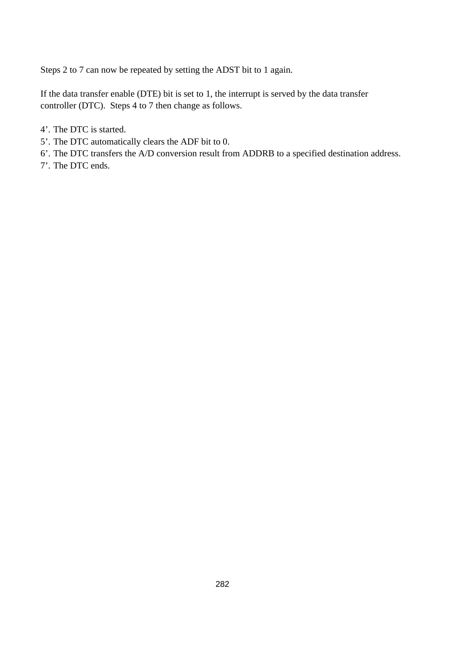Steps 2 to 7 can now be repeated by setting the ADST bit to 1 again.

If the data transfer enable (DTE) bit is set to 1, the interrupt is served by the data transfer controller (DTC). Steps 4 to 7 then change as follows.

- 4'. The DTC is started.
- 5'. The DTC automatically clears the ADF bit to 0.
- 6'. The DTC transfers the A/D conversion result from ADDRB to a specified destination address.
- 7'. The DTC ends.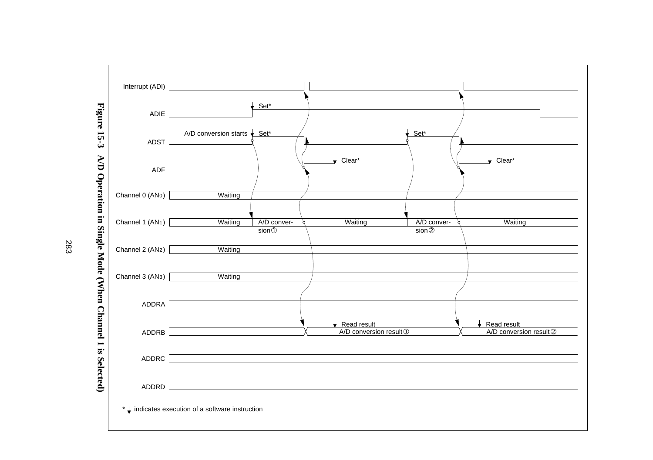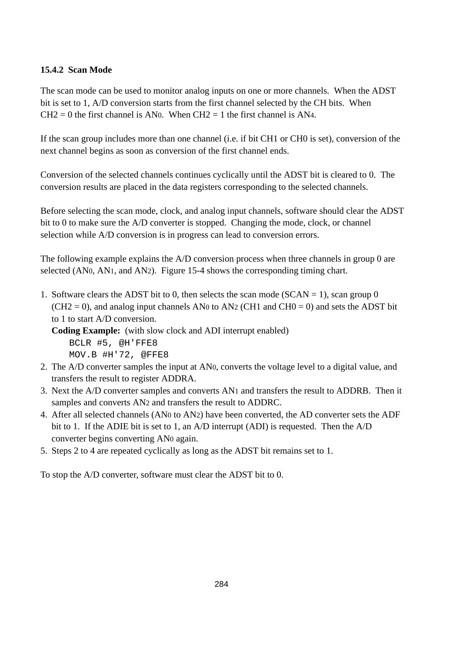## **15.4.2 Scan Mode**

The scan mode can be used to monitor analog inputs on one or more channels. When the ADST bit is set to 1, A/D conversion starts from the first channel selected by the CH bits. When  $CH2 = 0$  the first channel is AN0. When CH2 = 1 the first channel is AN4.

If the scan group includes more than one channel (i.e. if bit CH1 or CH0 is set), conversion of the next channel begins as soon as conversion of the first channel ends.

Conversion of the selected channels continues cyclically until the ADST bit is cleared to 0. The conversion results are placed in the data registers corresponding to the selected channels.

Before selecting the scan mode, clock, and analog input channels, software should clear the ADST bit to 0 to make sure the A/D converter is stopped. Changing the mode, clock, or channel selection while A/D conversion is in progress can lead to conversion errors.

The following example explains the A/D conversion process when three channels in group 0 are selected (AN0, AN1, and AN2). Figure 15-4 shows the corresponding timing chart.

1. Software clears the ADST bit to 0, then selects the scan mode ( $SCAN = 1$ ), scan group 0  $(CH2 = 0)$ , and analog input channels AN0 to AN2 (CH1 and CH0 = 0) and sets the ADST bit to 1 to start A/D conversion.

**Coding Example:** (with slow clock and ADI interrupt enabled) BCLR #5, @H'FFE8 MOV.B #H'72, @FFE8

- 2. The A/D converter samples the input at AN0, converts the voltage level to a digital value, and transfers the result to register ADDRA.
- 3. Next the A/D converter samples and converts AN1 and transfers the result to ADDRB. Then it samples and converts AN2 and transfers the result to ADDRC.
- 4. After all selected channels (AN0 to AN2) have been converted, the AD converter sets the ADF bit to 1. If the ADIE bit is set to 1, an A/D interrupt (ADI) is requested. Then the A/D converter begins converting AN0 again.
- 5. Steps 2 to 4 are repeated cyclically as long as the ADST bit remains set to 1.

To stop the A/D converter, software must clear the ADST bit to 0.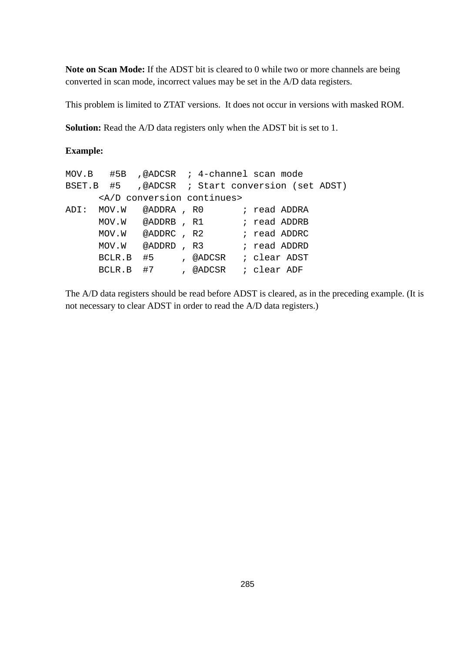**Note on Scan Mode:** If the ADST bit is cleared to 0 while two or more channels are being converted in scan mode, incorrect values may be set in the A/D data registers.

This problem is limited to ZTAT versions. It does not occur in versions with masked ROM.

**Solution:** Read the A/D data registers only when the ADST bit is set to 1.

### **Example:**

| $MOV.B$ #5B ,@ADCSR ; 4-channel scan mode       |                                         |  |  |  |
|-------------------------------------------------|-----------------------------------------|--|--|--|
| BSET.B #5 ,@ADCSR ; Start conversion (set ADST) |                                         |  |  |  |
|                                                 | <a continues="" conversion="" d=""></a> |  |  |  |
| ADI: MOV.W @ADDRA, R0 : read ADDRA              |                                         |  |  |  |
| MOV.W @ADDRB, R1 ; read ADDRB                   |                                         |  |  |  |
| MOV.W @ADDRC, R2 ; read ADDRC                   |                                         |  |  |  |
| MOV.W @ADDRD, R3 : read ADDRD                   |                                         |  |  |  |
| BCLR.B #5 , @ADCSR ; clear ADST                 |                                         |  |  |  |
| BCLR.B #7 , @ADCSR ; clear ADF                  |                                         |  |  |  |

The A/D data registers should be read before ADST is cleared, as in the preceding example. (It is not necessary to clear ADST in order to read the A/D data registers.)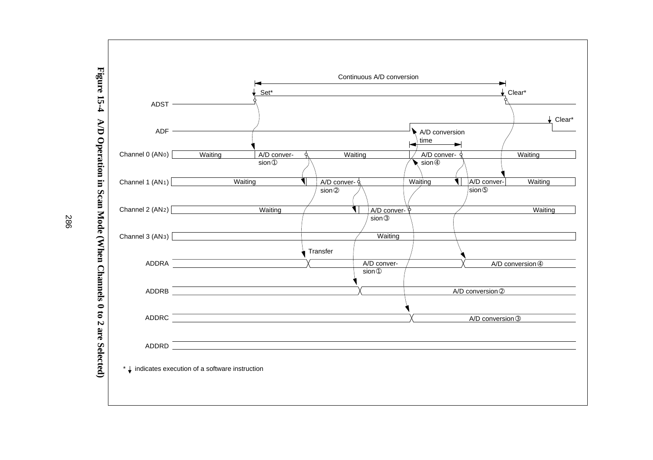

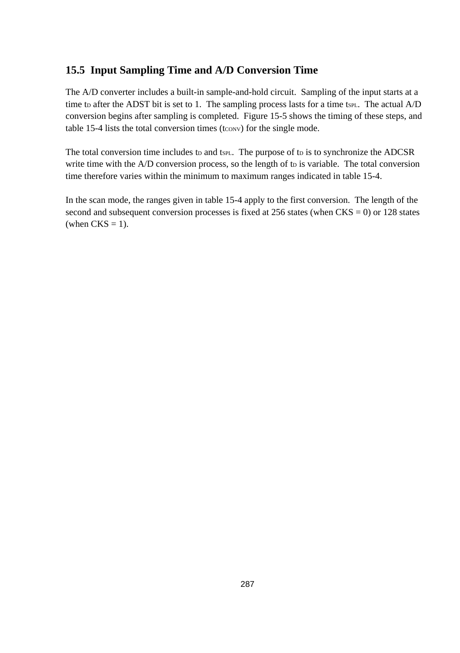## **15.5 Input Sampling Time and A/D Conversion Time**

The A/D converter includes a built-in sample-and-hold circuit. Sampling of the input starts at a time to after the ADST bit is set to 1. The sampling process lasts for a time tsp. The actual  $A/D$ conversion begins after sampling is completed. Figure 15-5 shows the timing of these steps, and table 15-4 lists the total conversion times (tcow) for the single mode.

The total conversion time includes to and tsp... The purpose of to is to synchronize the ADCSR write time with the  $A/D$  conversion process, so the length of to is variable. The total conversion time therefore varies within the minimum to maximum ranges indicated in table 15-4.

In the scan mode, the ranges given in table 15-4 apply to the first conversion. The length of the second and subsequent conversion processes is fixed at  $256$  states (when CKS = 0) or 128 states (when  $CKS = 1$ ).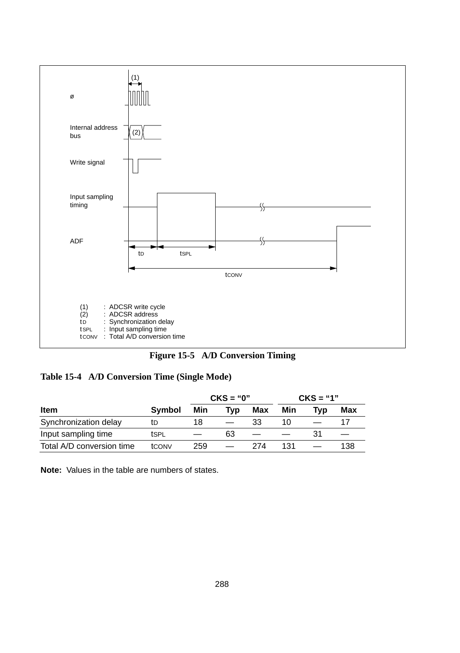



**Table 15-4 A/D Conversion Time (Single Mode)**

|                           |               |     | $CKS = "0"$ |     | $CKS = "1"$ |     |     |
|---------------------------|---------------|-----|-------------|-----|-------------|-----|-----|
| <b>Item</b>               | <b>Symbol</b> | Min | Tvɒ         | Max | Min         | Tvɒ | Max |
| Synchronization delay     | tD            | 18  |             | 33  | 10          |     |     |
| Input sampling time       | tSPL          |     | 63          |     |             | 31  |     |
| Total A/D conversion time | tCONV         | 259 |             | 274 | 131         |     | 138 |

**Note:** Values in the table are numbers of states.